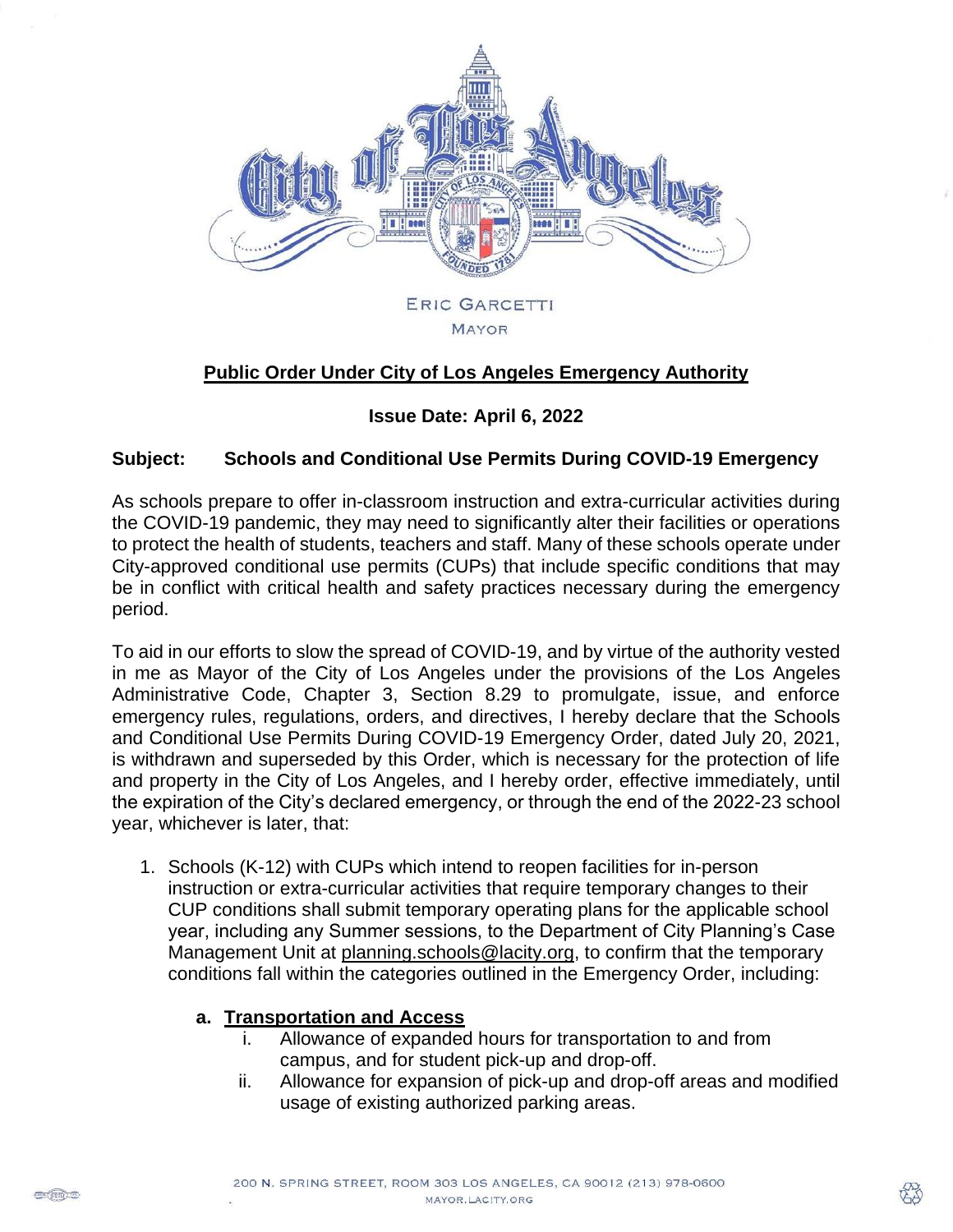

# **Public Order Under City of Los Angeles Emergency Authority**

### **Issue Date: April 6, 2022**

#### **Subject: Schools and Conditional Use Permits During COVID-19 Emergency**

As schools prepare to offer in-classroom instruction and extra-curricular activities during the COVID-19 pandemic, they may need to significantly alter their facilities or operations to protect the health of students, teachers and staff. Many of these schools operate under City-approved conditional use permits (CUPs) that include specific conditions that may be in conflict with critical health and safety practices necessary during the emergency period.

To aid in our efforts to slow the spread of COVID-19, and by virtue of the authority vested in me as Mayor of the City of Los Angeles under the provisions of the Los Angeles Administrative Code, Chapter 3, Section 8.29 to promulgate, issue, and enforce emergency rules, regulations, orders, and directives, I hereby declare that the Schools and Conditional Use Permits During COVID-19 Emergency Order, dated July 20, 2021, is withdrawn and superseded by this Order, which is necessary for the protection of life and property in the City of Los Angeles, and I hereby order, effective immediately, until the expiration of the City's declared emergency, or through the end of the 2022-23 school year, whichever is later, that:

1. Schools (K-12) with CUPs which intend to reopen facilities for in-person instruction or extra-curricular activities that require temporary changes to their CUP conditions shall submit temporary operating plans for the applicable school year, including any Summer sessions, to the Department of City Planning's Case Management Unit at [planning.schools@lacity.org,](mailto:planning.schools@lacity.org) to confirm that the temporary conditions fall within the categories outlined in the Emergency Order, including:

#### **a. Transportation and Access**

- i. Allowance of expanded hours for transportation to and from campus, and for student pick-up and drop-off.
- ii. Allowance for expansion of pick-up and drop-off areas and modified usage of existing authorized parking areas.

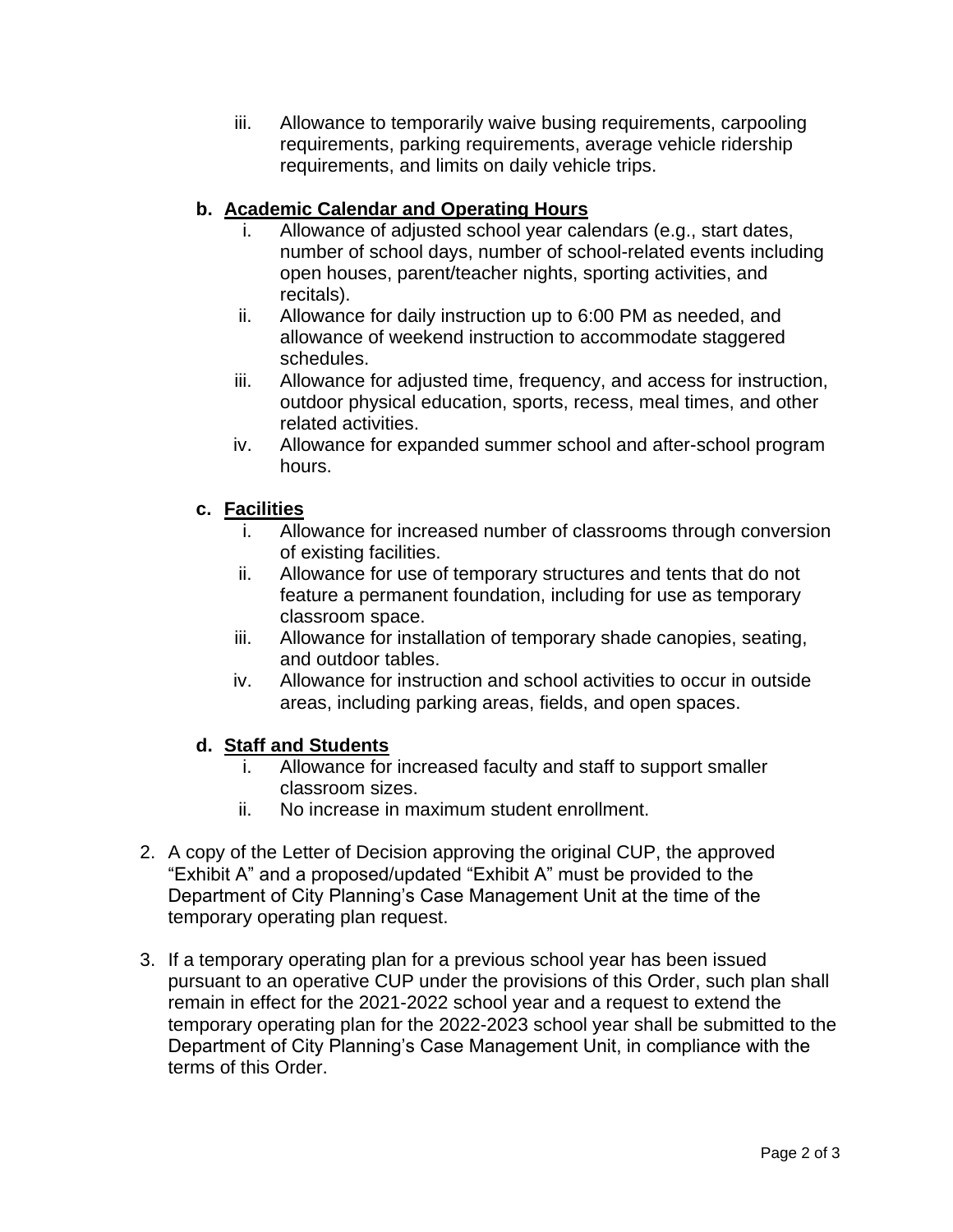iii. Allowance to temporarily waive busing requirements, carpooling requirements, parking requirements, average vehicle ridership requirements, and limits on daily vehicle trips.

## **b. Academic Calendar and Operating Hours**

- i. Allowance of adjusted school year calendars (e.g., start dates, number of school days, number of school-related events including open houses, parent/teacher nights, sporting activities, and recitals).
- ii. Allowance for daily instruction up to 6:00 PM as needed, and allowance of weekend instruction to accommodate staggered schedules.
- iii. Allowance for adjusted time, frequency, and access for instruction, outdoor physical education, sports, recess, meal times, and other related activities.
- iv. Allowance for expanded summer school and after-school program hours.

# **c. Facilities**

- i. Allowance for increased number of classrooms through conversion of existing facilities.
- ii. Allowance for use of temporary structures and tents that do not feature a permanent foundation, including for use as temporary classroom space.
- iii. Allowance for installation of temporary shade canopies, seating, and outdoor tables.
- iv. Allowance for instruction and school activities to occur in outside areas, including parking areas, fields, and open spaces.

## **d. Staff and Students**

- i. Allowance for increased faculty and staff to support smaller classroom sizes.
- ii. No increase in maximum student enrollment.
- 2. A copy of the Letter of Decision approving the original CUP, the approved "Exhibit A" and a proposed/updated "Exhibit A" must be provided to the Department of City Planning's Case Management Unit at the time of the temporary operating plan request.
- 3. If a temporary operating plan for a previous school year has been issued pursuant to an operative CUP under the provisions of this Order, such plan shall remain in effect for the 2021-2022 school year and a request to extend the temporary operating plan for the 2022-2023 school year shall be submitted to the Department of City Planning's Case Management Unit, in compliance with the terms of this Order.